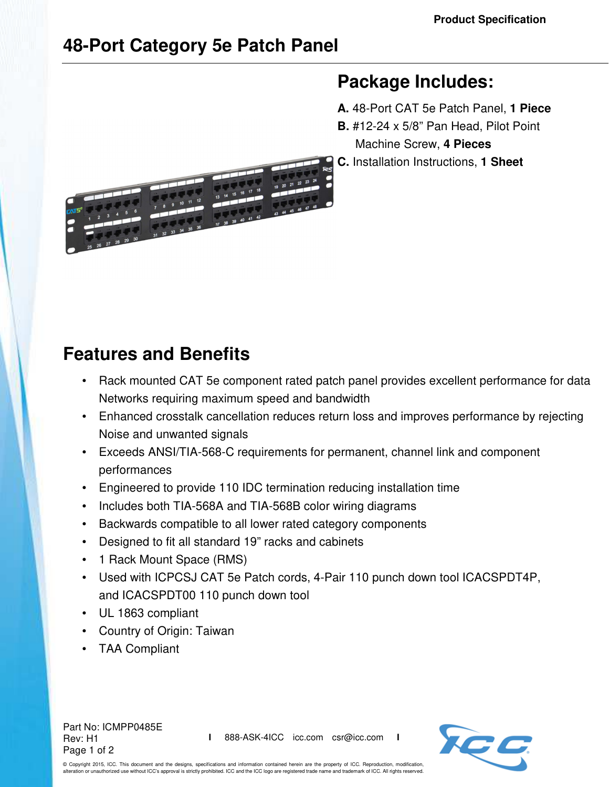## **48-Port Category 5e Patch Panel**

## **Package Includes:**

- **A.** 48-Port CAT 5e Patch Panel, **1 Piece**
- **B.** #12-24 x 5/8" Pan Head, Pilot Point

Machine Screw, **4 Pieces**

**C.** Installation Instructions, **1 Sheet**



# **Features and Benefits**

- Rack mounted CAT 5e component rated patch panel provides excellent performance for data Networks requiring maximum speed and bandwidth
- Enhanced crosstalk cancellation reduces return loss and improves performance by rejecting Noise and unwanted signals
- Exceeds ANSI/TIA-568-C requirements for permanent, channel link and component performances
- Engineered to provide 110 IDC termination reducing installation time
- Includes both TIA-568A and TIA-568B color wiring diagrams
- Backwards compatible to all lower rated category components
- Designed to fit all standard 19" racks and cabinets
- 1 Rack Mount Space (RMS)
- Used with ICPCSJ CAT 5e Patch cords, 4-Pair 110 punch down tool ICACSPDT4P, and ICACSPDT00 110 punch down tool
- UL 1863 compliant
- Country of Origin: Taiwan
- TAA Compliant

Part No: ICMPP0485E Rev: H1 Page 1 of 2

**I** 888-ASK-4ICC icc.com csr@icc.com **I**